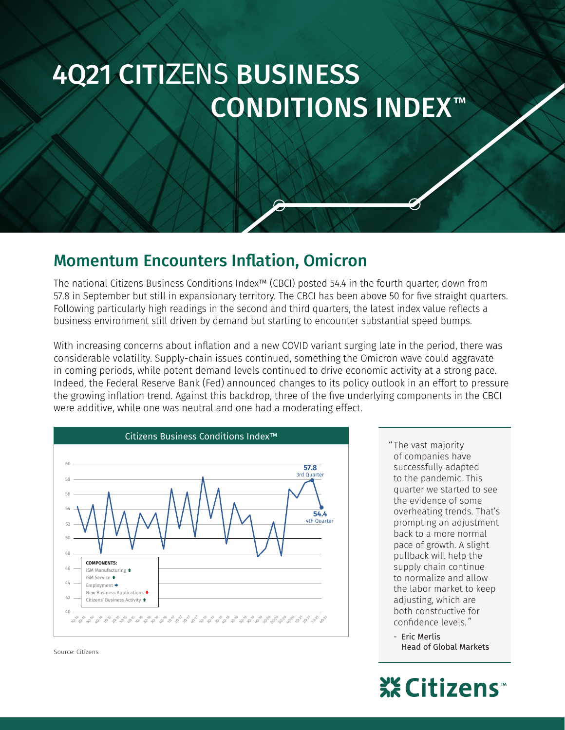# CONDITIONS INDEX™ 4Q21 CITIZENS BUSINESS

### Momentum Encounters Inflation, Omicron

business environment still driven by demand but starting to encounter substantial speed bumps. Following particularly high readings in the second and third quarters, the latest index value reflects a 57.8 in September but still in expansionary territory. The CBCI has been above 50 for five straight quarters. The national Citizens Business Conditions Index™ (CBCI) posted 54.4 in the fourth quarter, down from

were additive, while one was neutral and one had a moderating effect. the growing inflation trend. Against this backdrop, three of the five underlying components in the CBCI Indeed, the Federal Reserve Bank (Fed) announced changes to its policy outlook in an effort to pressure in coming periods, while potent demand levels continued to drive economic activity at a strong pace. considerable volatility. Supply-chain issues continued, something the Omicron wave could aggravate With increasing concerns about inflation and a new COVID variant surging late in the period, there was



Source: Citizens

The vast majority " of companies have successfully adapted to the pandemic. This quarter we started to see the evidence of some overheating trends. That's prompting an adjustment back to a more normal pace of growth. A slight pullback will help the supply chain continue to normalize and allow the labor market to keep adjusting, which are both constructive for confidence levels. ˮ

- Eric Merlis Head of Global Markets

## ※Citizens